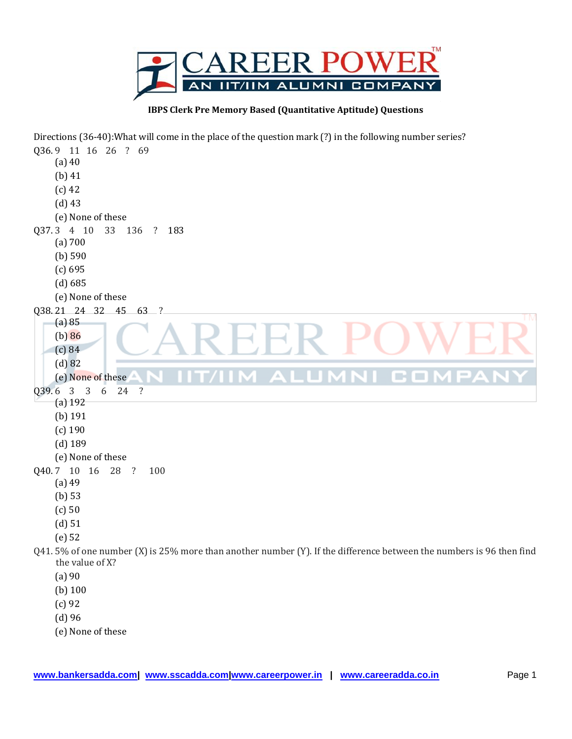

**IBPS Clerk Pre Memory Based (Quantitative Aptitude) Questions**

Directions (36-40):What will come in the place of the question mark (?) in the following number series? Q36. 9 11 16 26 ? 69 (a) 40 (b) 41 (c) 42 (d) 43 (e) None of these Q37. 3 4 10 33 136 ? 183 (a) 700 (b) 590 (c) 695 (d) 685 (e) None of these Q38. 21 24 32 45 63 ? **TM** (a) 85 (b) 86 (c) 84 (d) 82 COM  $\Delta$  iii (e) None of these Q39. 6 3 3 6 24 ? (a) 192 (b) 191 (c) 190 (d) 189 (e) None of these Q40. 7 10 16 28 ? 100 (a) 49 (b) 53 (c) 50 (d) 51 (e) 52 Q41. 5% of one number (X) is 25% more than another number (Y). If the difference between the numbers is 96 then find the value of X? (a) 90 (b) 100 (c) 92 (d) 96 (e) None of these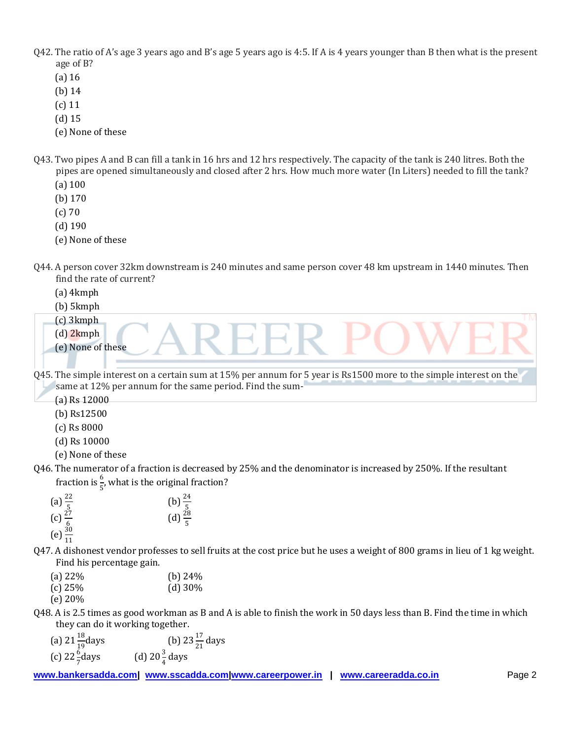- Q42. The ratio of A's age 3 years ago and B's age 5 years ago is 4:5. If A is 4 years younger than B then what is the present age of B?
	- (a) 16
	- (b) 14
	- (c) 11
	- (d) 15
	- (e) None of these
- Q43. Two pipes A and B can fill a tank in 16 hrs and 12 hrs respectively. The capacity of the tank is 240 litres. Both the pipes are opened simultaneously and closed after 2 hrs. How much more water (In Liters) needed to fill the tank?
	- (a) 100
	- (b) 170
	- (c) 70
	- (d) 190
	- (e) None of these
- Q44. A person cover 32km downstream is 240 minutes and same person cover 48 km upstream in 1440 minutes. Then find the rate of current?
	- (a) 4kmph
	- (b) 5kmph
	- (c) 3kmph
	- (d) 2kmph
	- (e) None of these
- Q45. The simple interest on a certain sum at 15% per annum for 5 year is Rs1500 more to the simple interest on the same at 12% per annum for the same period. Find the sum-
	- (a) Rs 12000
	- (b) Rs12500
	- (c) Rs 8000
	- (d) Rs 10000
	- (e) None of these
- Q46. The numerator of a fraction is decreased by 25% and the denominator is increased by 250%. If the resultant fraction is  $\frac{6}{5}$ , what is the original fraction?

(a) 
$$
\frac{22}{5}
$$
  
\n(b)  $\frac{24}{5}$   
\n(c)  $\frac{27}{6}$   
\n(e)  $\frac{30}{11}$   
\n(f)  $\frac{28}{5}$   
\n(g)  $\frac{28}{5}$ 

- Q47. A dishonest vendor professes to sell fruits at the cost price but he uses a weight of 800 grams in lieu of 1 kg weight. Find his percentage gain.
	- (a)  $22\%$  (b)  $24\%$ (c) 25% (d) 30%
	- (e) 20%
- Q48. A is 2.5 times as good workman as B and A is able to finish the work in 50 days less than B. Find the time in which they can do it working together.
	- (a)  $21\frac{18}{19}$ days (b)  $23\frac{17}{21}$  days (c)  $22\frac{6}{7}$ days (d)  $20\frac{3}{4}$  days
- **www.bankersadda.com| www.sscadda.com|www.careerpower.in | www.careeradda.co.in** Page 2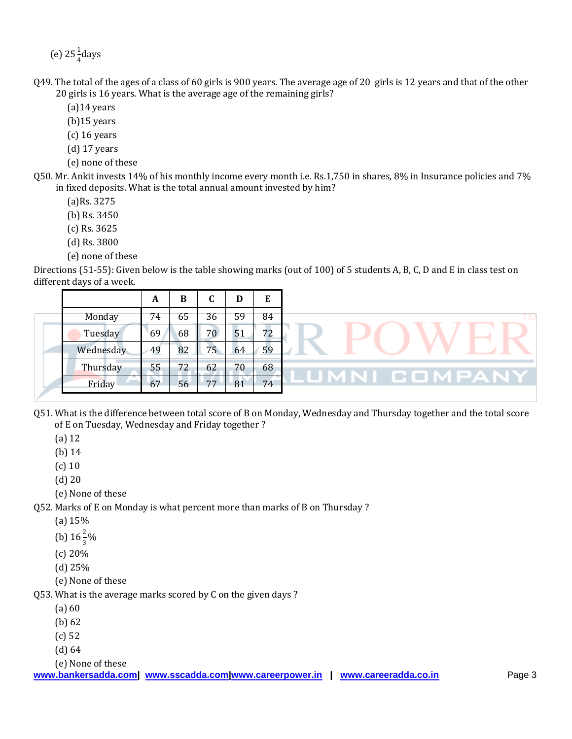(e)  $25\frac{1}{4}$ days

- Q49. The total of the ages of a class of 60 girls is 900 years. The average age of 20 girls is 12 years and that of the other 20 girls is 16 years. What is the average age of the remaining girls?
	- (a)14 years
	- (b)15 years
	- (c) 16 years
	- (d) 17 years
	- (e) none of these
- Q50. Mr. Ankit invests 14% of his monthly income every month i.e. Rs.1,750 in shares, 8% in Insurance policies and 7% in fixed deposits. What is the total annual amount invested by him?
	- (a)Rs. 3275
	- (b) Rs. 3450
	- (c) Rs. 3625
	- (d) Rs. 3800
	- (e) none of these

Directions (51-55): Given below is the table showing marks (out of 100) of 5 students A, B, C, D and E in class test on different days of a week.

|           | A  | в  |                 |    | E  |
|-----------|----|----|-----------------|----|----|
| Monday    | 74 | 65 | 36              | 59 | 84 |
| Tuesday   | 69 | 68 | 70              | 51 | 72 |
| Wednesday | 49 | 82 | 75 <sub>2</sub> | 64 | 59 |
| Thursday  | 55 | 72 | 62              | 70 | 68 |
| Friday    | 67 | 56 | 77              | 81 | 74 |

- Q51. What is the difference between total score of B on Monday, Wednesday and Thursday together and the total score of E on Tuesday, Wednesday and Friday together ?
	- (a) 12
	- (b) 14
	- (c) 10
	- (d) 20
	- (e) None of these

Q52. Marks of E on Monday is what percent more than marks of B on Thursday ?

- (a) 15%
- (b)  $16\frac{2}{3}\%$
- (c) 20%
- (d) 25%
- (e) None of these

Q53. What is the average marks scored by C on the given days ?

- $(a) 60$
- (b) 62
- (c) 52
- (d) 64

(e) None of these

**www.bankersadda.com| www.sscadda.com|www.careerpower.in | www.careeradda.co.in Page 3**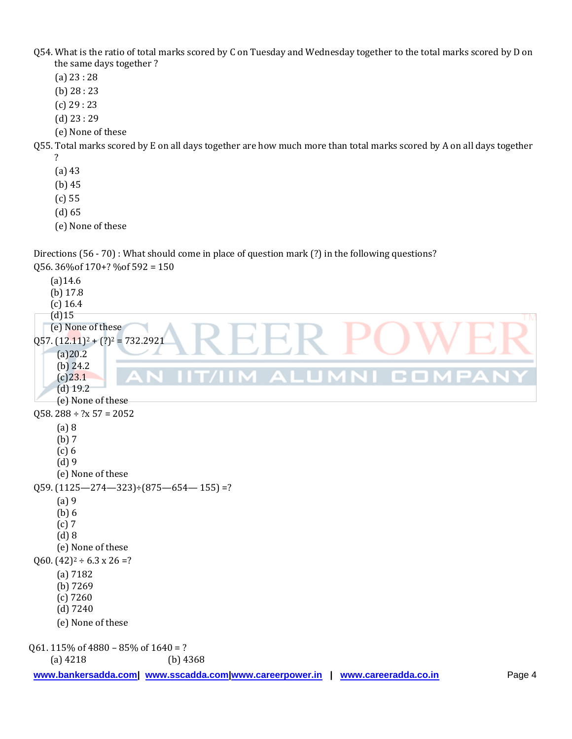- Q54. What is the ratio of total marks scored by C on Tuesday and Wednesday together to the total marks scored by D on the same days together ?
	- (a) 23 : 28
	- (b) 28 : 23
	- (c) 29 : 23
	- (d) 23 : 29
	- (e) None of these

Q55. Total marks scored by E on all days together are how much more than total marks scored by A on all days together ?

- (a) 43
- (b) 45
- (c) 55
- (d) 65
- (e) None of these

Directions (56 - 70) : What should come in place of question mark (?) in the following questions? Q56. 36%of 170+? %of 592 = 150

```
(a)14.6
    (b) 17.8
    (c) 16.4
    (d)15
    (e) None of these
Q57. (12.11)^2 + (?)^2 = 732.2921(a)20.2
      (b) 24.2
                                          IM ALUMNI CON
      (c)23.1
      (d) 19.2
      (e) None of these
058. 288 \div ?x 57 = 2052(a) 8
      (b) 7
      (c) 6
      (d) 9
      (e) None of these
Q59. (1125 - 274 - 323) \div (875 - 654 - 155) = ?(a) 9
      (b) 6
      (c) 7
      (d) 8
     (e) None of these
Q60. (42)^2 \div 6.3 \times 26 = ?(a) 7182
      (b) 7269
     (c) 7260
      (d) 7240
      (e) None of these
Q61. 115% of 4880 – 85% of 1640 = ?
    (a) 4218 (b) 4368
```